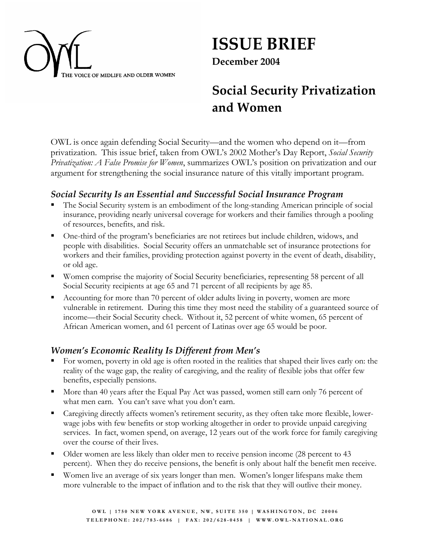

**ISSUE BRIEF** 

**December 2004**

# **Social Security Privatization and Women**

OWL is once again defending Social Security—and the women who depend on it—from privatization. This issue brief, taken from OWL's 2002 Mother's Day Report, *Social Security Privatization: A False Promise for Women*, summarizes OWL's position on privatization and our argument for strengthening the social insurance nature of this vitally important program.

#### *Social Security Is an Essential and Successful Social Insurance Program*

- The Social Security system is an embodiment of the long-standing American principle of social insurance, providing nearly universal coverage for workers and their families through a pooling of resources, benefits, and risk.
- One-third of the program's beneficiaries are not retirees but include children, widows, and people with disabilities. Social Security offers an unmatchable set of insurance protections for workers and their families, providing protection against poverty in the event of death, disability, or old age.
- Women comprise the majority of Social Security beneficiaries, representing 58 percent of all Social Security recipients at age 65 and 71 percent of all recipients by age 85.
- Accounting for more than 70 percent of older adults living in poverty, women are more vulnerable in retirement. During this time they most need the stability of a guaranteed source of income—their Social Security check. Without it, 52 percent of white women, 65 percent of African American women, and 61 percent of Latinas over age 65 would be poor.

#### *Women's Economic Reality Is Different from Men's*

- For women, poverty in old age is often rooted in the realities that shaped their lives early on: the reality of the wage gap, the reality of caregiving, and the reality of flexible jobs that offer few benefits, especially pensions.
- More than 40 years after the Equal Pay Act was passed, women still earn only 76 percent of what men earn. You can't save what you don't earn.
- Caregiving directly affects women's retirement security, as they often take more flexible, lowerwage jobs with few benefits or stop working altogether in order to provide unpaid caregiving services. In fact, women spend, on average, 12 years out of the work force for family caregiving over the course of their lives.
- Older women are less likely than older men to receive pension income (28 percent to 43 percent). When they do receive pensions, the benefit is only about half the benefit men receive.
- Women live an average of six years longer than men. Women's longer lifespans make them more vulnerable to the impact of inflation and to the risk that they will outlive their money.